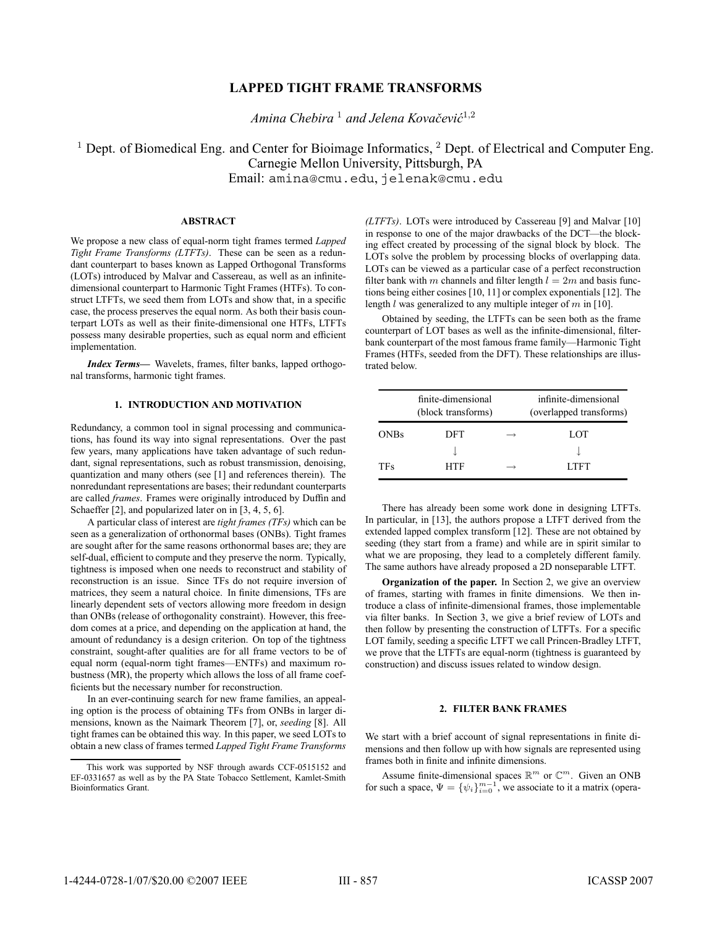# **LAPPED TIGHT FRAME TRANSFORMS**

*Amina Chebira*<sup>1</sup> *and Jelena Kovačević*<sup>1,2</sup>

 $1$  Dept. of Biomedical Eng. and Center for Bioimage Informatics,  $2$  Dept. of Electrical and Computer Eng. Carnegie Mellon University, Pittsburgh, PA Email: amina@cmu.edu, jelenak@cmu.edu

#### **ABSTRACT**

We propose a new class of equal-norm tight frames termed *Lapped Tight Frame Transforms (LTFTs)*. These can be seen as a redundant counterpart to bases known as Lapped Orthogonal Transforms (LOTs) introduced by Malvar and Cassereau, as well as an infinitedimensional counterpart to Harmonic Tight Frames (HTFs). To construct LTFTs, we seed them from LOTs and show that, in a specific case, the process preserves the equal norm. As both their basis counterpart LOTs as well as their finite-dimensional one HTFs, LTFTs possess many desirable properties, such as equal norm and efficient implementation.

*Index Terms*— Wavelets, frames, filter banks, lapped orthogonal transforms, harmonic tight frames.

## **1. INTRODUCTION AND MOTIVATION**

Redundancy, a common tool in signal processing and communications, has found its way into signal representations. Over the past few years, many applications have taken advantage of such redundant, signal representations, such as robust transmission, denoising, quantization and many others (see [1] and references therein). The nonredundant representations are bases; their redundant counterparts are called *frames*. Frames were originally introduced by Duffin and Schaeffer [2], and popularized later on in [3, 4, 5, 6].

A particular class of interest are *tight frames (TFs)* which can be seen as a generalization of orthonormal bases (ONBs). Tight frames are sought after for the same reasons orthonormal bases are; they are self-dual, efficient to compute and they preserve the norm. Typically, tightness is imposed when one needs to reconstruct and stability of reconstruction is an issue. Since TFs do not require inversion of matrices, they seem a natural choice. In finite dimensions, TFs are linearly dependent sets of vectors allowing more freedom in design than ONBs (release of orthogonality constraint). However, this freedom comes at a price, and depending on the application at hand, the amount of redundancy is a design criterion. On top of the tightness constraint, sought-after qualities are for all frame vectors to be of equal norm (equal-norm tight frames—ENTFs) and maximum robustness (MR), the property which allows the loss of all frame coef ficients but the necessary number for reconstruction.

In an ever-continuing search for new frame families, an appealing option is the process of obtaining TFs from ONBs in larger dimensions, known as the Naimark Theorem [7], or, *seeding* [8]. All tight frames can be obtained this way. In this paper, we seed LOTs to obtain a new class of frames termed *Lapped Tight Frame Transforms* *(LTFTs)*. LOTs were introduced by Cassereau [9] and Malvar [10] in response to one of the major drawbacks of the DCT—the blocking effect created by processing of the signal block by block. The LOTs solve the problem by processing blocks of overlapping data. LOTs can be viewed as a particular case of a perfect reconstruction filter bank with m channels and filter length  $l = 2m$  and basis functions being either cosines [10, 11] or complex exponentials [12]. The length  $l$  was generalized to any multiple integer of  $m$  in [10].

Obtained by seeding, the LTFTs can be seen both as the frame counterpart of LOT bases as well as the infinite-dimensional, filterbank counterpart of the most famous frame family—Harmonic Tight Frames (HTFs, seeded from the DFT). These relationships are illustrated below.

|             | finite-dimensional<br>(block transforms) | infinite-dimensional<br>(overlapped transforms) |
|-------------|------------------------------------------|-------------------------------------------------|
| <b>ONBs</b> | DFT                                      | LOT                                             |
|             |                                          |                                                 |
| <b>TFs</b>  | HTF                                      | LTFT                                            |

There has already been some work done in designing LTFTs. In particular, in [13], the authors propose a LTFT derived from the extended lapped complex transform [12]. These are not obtained by seeding (they start from a frame) and while are in spirit similar to what we are proposing, they lead to a completely different family. The same authors have already proposed a 2D nonseparable LTFT.

**Organization of the paper.** In Section 2, we give an overview of frames, starting with frames in finite dimensions. We then introduce a class of infinite-dimensional frames, those implementable via filter banks. In Section 3, we give a brief review of LOTs and then follow by presenting the construction of LTFTs. For a specific LOT family, seeding a specific LTFT we call Princen-Bradley LTFT, we prove that the LTFTs are equal-norm (tightness is guaranteed by construction) and discuss issues related to window design.

### **2. FILTER BANK FRAMES**

We start with a brief account of signal representations in finite dimensions and then follow up with how signals are represented using frames both in finite and infinite dimensions.

Assume finite-dimensional spaces  $\mathbb{R}^m$  or  $\mathbb{C}^m$ . Given an ONB for such a space,  $\Psi = {\psi_i}_{i=0}^{m-1}$ , we associate to it a matrix (opera-

This work was supported by NSF through awards CCF-0515152 and EF-0331657 as well as by the PA State Tobacco Settlement, Kamlet-Smith Bioinformatics Grant.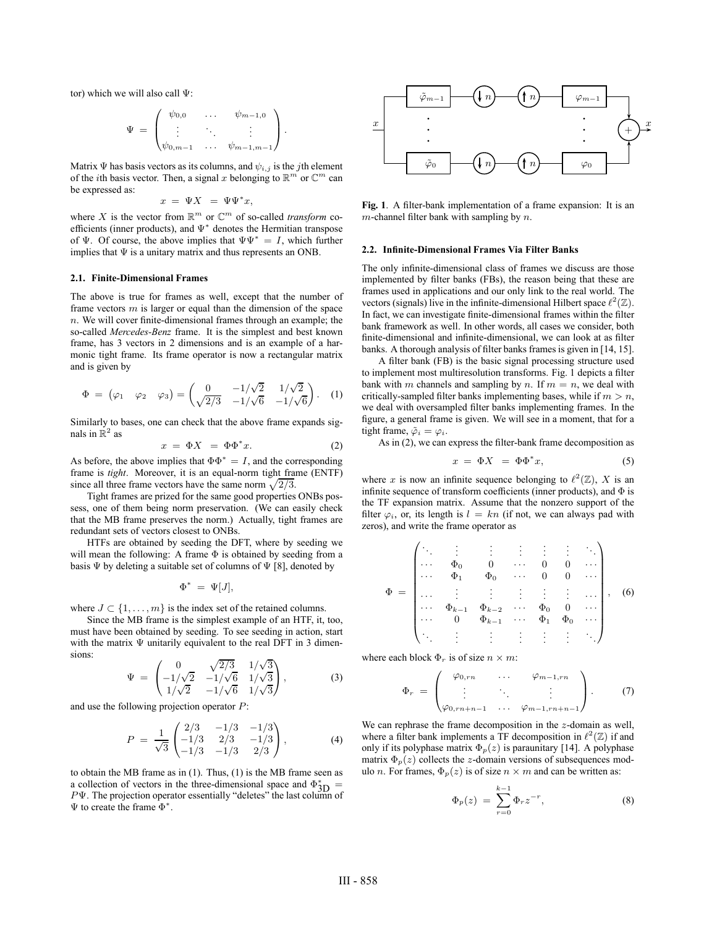tor) which we will also call Ψ:

$$
\Psi = \begin{pmatrix} \psi_{0,0} & \dots & \psi_{m-1,0} \\ \vdots & \ddots & \vdots \\ \psi_{0,m-1} & \dots & \psi_{m-1,m-1} \end{pmatrix}.
$$

Matrix  $\Psi$  has basis vectors as its columns, and  $\psi_{i,j}$  is the *j*th element of the *i*th basis vector. Then, a signal x belonging to  $\mathbb{R}^m$  or  $\mathbb{C}^m$  can be expressed as:

$$
x = \Psi X = \Psi \Psi^* x,
$$

where X is the vector from  $\mathbb{R}^m$  or  $\mathbb{C}^m$  of so-called *transform* coefficients (inner products), and  $\Psi^*$  denotes the Hermitian transpose of Ψ. Of course, the above implies that  $\Psi \Psi^* = I$ , which further implies that  $\Psi$  is a unitary matrix and thus represents an ONB.

#### **2.1. Finite-Dimensional Frames**

The above is true for frames as well, except that the number of frame vectors  $m$  is larger or equal than the dimension of the space  $n.$  We will cover finite-dimensional frames through an example; the so-called *Mercedes-Benz* frame. It is the simplest and best known frame, has 3 vectors in 2 dimensions and is an example of a harmonic tight frame. Its frame operator is now a rectangular matrix and is given by

$$
\Phi = (\varphi_1 \quad \varphi_2 \quad \varphi_3) = \begin{pmatrix} 0 & -1/\sqrt{2} & 1/\sqrt{2} \\ \sqrt{2/3} & -1/\sqrt{6} & -1/\sqrt{6} \end{pmatrix} . \quad (1)
$$

Similarly to bases, one can check that the above frame expands signals in  $\mathbb{R}^2$  as

$$
x = \Phi X = \Phi \Phi^* x. \tag{2}
$$

As before, the above implies that  $\Phi \Phi^* = I$ , and the corresponding frame is *tight*. Moreover, it is an equal-norm tight frame (ENTF) since all three frame vectors have the same norm  $\sqrt{2/3}$ .

Tight frames are prized for the same good properties ONBs possess, one of them being norm preservation. (We can easily check that the MB frame preserves the norm.) Actually, tight frames are redundant sets of vectors closest to ONBs.

HTFs are obtained by seeding the DFT, where by seeding we will mean the following: A frame Φ is obtained by seeding from a basis  $\Psi$  by deleting a suitable set of columns of  $\Psi$  [8], denoted by

$$
\Phi^* = \Psi[J],
$$

where  $J \subset \{1, \ldots, m\}$  is the index set of the retained columns.

Since the MB frame is the simplest example of an HTF, it, too, must have been obtained by seeding. To see seeding in action, start with the matrix Ψ unitarily equivalent to the real DFT in 3 dimensions:

$$
\Psi = \begin{pmatrix} 0 & \sqrt{2/3} & 1/\sqrt{3} \\ -1/\sqrt{2} & -1/\sqrt{6} & 1/\sqrt{3} \\ 1/\sqrt{2} & -1/\sqrt{6} & 1/\sqrt{3} \end{pmatrix},
$$
(3)

and use the following projection operator P:

$$
P = \frac{1}{\sqrt{3}} \begin{pmatrix} 2/3 & -1/3 & -1/3 \\ -1/3 & 2/3 & -1/3 \\ -1/3 & -1/3 & 2/3 \end{pmatrix},
$$
 (4)

to obtain the MB frame as in (1). Thus, (1) is the MB frame seen as a collection of vectors in the three-dimensional space and  $\Phi_{\text{3D}}^* =$  $P\Psi$ . The projection operator essentially "deletes" the last column of Ψ to create the frame Φ<sup>∗</sup>.



Fig. 1. A filter-bank implementation of a frame expansion: It is an  $m$ -channel filter bank with sampling by  $n$ .

#### **2.2. In¿nite-Dimensional Frames Via Filter Banks**

The only infinite-dimensional class of frames we discuss are those implemented by filter banks (FBs), the reason being that these are frames used in applications and our only link to the real world. The vectors (signals) live in the infinite-dimensional Hilbert space  $\ell^2(\mathbb{Z})$ . In fact, we can investigate finite-dimensional frames within the filter bank framework as well. In other words, all cases we consider, both finite-dimensional and infinite-dimensional, we can look at as filter banks. A thorough analysis of filter banks frames is given in [14, 15].

A filter bank (FB) is the basic signal processing structure used to implement most multiresolution transforms. Fig. 1 depicts a filter bank with m channels and sampling by n. If  $m = n$ , we deal with critically-sampled filter banks implementing bases, while if  $m > n$ , we deal with oversampled filter banks implementing frames. In the figure, a general frame is given. We will see in a moment, that for a tight frame,  $\tilde{\varphi}_i = \varphi_i$ .

As in  $(2)$ , we can express the filter-bank frame decomposition as

$$
x = \Phi X = \Phi \Phi^* x, \tag{5}
$$

where x is now an infinite sequence belonging to  $\ell^2(\mathbb{Z})$ , X is an infinite sequence of transform coefficients (inner products), and  $\Phi$  is the TF expansion matrix. Assume that the nonzero support of the filter  $\varphi_i$ , or, its length is  $l = kn$  (if not, we can always pad with zeros), and write the frame operator as

$$
\Phi = \begin{pmatrix}\n\ddots & \vdots & \vdots & \vdots & \vdots & \vdots & \vdots \\
\cdots & \Phi_0 & 0 & \cdots & 0 & 0 & \cdots \\
\cdots & \Phi_1 & \Phi_0 & \cdots & 0 & 0 & \cdots \\
\cdots & \vdots & \vdots & \vdots & \vdots & \vdots & \vdots \\
\cdots & \Phi_{k-1} & \Phi_{k-2} & \cdots & \Phi_0 & 0 & \cdots \\
\cdots & 0 & \Phi_{k-1} & \cdots & \Phi_1 & \Phi_0 & \cdots \\
\cdots & \vdots & \vdots & \vdots & \vdots & \vdots & \ddots\n\end{pmatrix}, \quad (6)
$$

where each block  $\Phi_r$  is of size  $n \times m$ :

$$
\Phi_r = \begin{pmatrix} \varphi_{0, rn} & \dots & \varphi_{m-1, rn} \\ \vdots & \ddots & \vdots \\ \varphi_{0, rn+n-1} & \dots & \varphi_{m-1, rn+n-1} \end{pmatrix} . \tag{7}
$$

We can rephrase the frame decomposition in the z-domain as well, where a filter bank implements a TF decomposition in  $\ell^2(\mathbb{Z})$  if and only if its polyphase matrix  $\Phi_p(z)$  is paraunitary [14]. A polyphase matrix  $\Phi_p(z)$  collects the z-domain versions of subsequences modulo *n*. For frames,  $\Phi_p(z)$  is of size  $n \times m$  and can be written as:

$$
\Phi_p(z) = \sum_{r=0}^{k-1} \Phi_r z^{-r}, \tag{8}
$$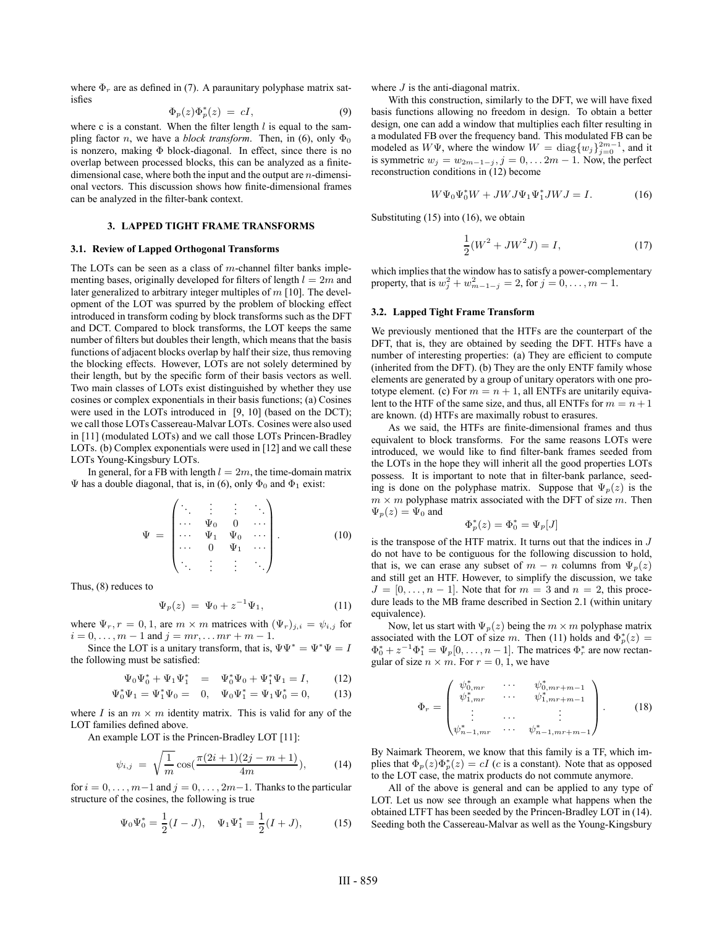where  $\Phi_r$  are as defined in (7). A paraunitary polyphase matrix satisfies

$$
\Phi_p(z)\Phi_p^*(z) = cI,\tag{9}
$$

where c is a constant. When the filter length  $l$  is equal to the sampling factor *n*, we have a *block transform*. Then, in (6), only  $\Phi_0$ is nonzero, making Φ block-diagonal. In effect, since there is no overlap between processed blocks, this can be analyzed as a finitedimensional case, where both the input and the output are  $n$ -dimensional vectors. This discussion shows how finite-dimensional frames can be analyzed in the filter-bank context.

## **3. LAPPED TIGHT FRAME TRANSFORMS**

#### **3.1. Review of Lapped Orthogonal Transforms**

The LOTs can be seen as a class of m-channel filter banks implementing bases, originally developed for filters of length  $l = 2m$  and later generalized to arbitrary integer multiples of  $m$  [10]. The development of the LOT was spurred by the problem of blocking effect introduced in transform coding by block transforms such as the DFT and DCT. Compared to block transforms, the LOT keeps the same number of filters but doubles their length, which means that the basis functions of adjacent blocks overlap by half their size, thus removing the blocking effects. However, LOTs are not solely determined by their length, but by the specific form of their basis vectors as well. Two main classes of LOTs exist distinguished by whether they use cosines or complex exponentials in their basis functions; (a) Cosines were used in the LOTs introduced in [9, 10] (based on the DCT); we call those LOTs Cassereau-Malvar LOTs. Cosines were also used in [11] (modulated LOTs) and we call those LOTs Princen-Bradley LOTs. (b) Complex exponentials were used in [12] and we call these LOTs Young-Kingsbury LOTs.

In general, for a FB with length  $l = 2m$ , the time-domain matrix  $\Psi$  has a double diagonal, that is, in (6), only  $\Phi_0$  and  $\Phi_1$  exist:

$$
\Psi = \begin{pmatrix}\n\ddots & \vdots & \vdots & \ddots \\
\cdots & \Psi_0 & 0 & \cdots \\
\cdots & \Psi_1 & \Psi_0 & \cdots \\
\cdots & 0 & \Psi_1 & \cdots \\
\vdots & \vdots & \vdots & \ddots\n\end{pmatrix} .
$$
\n(10)

Thus, (8) reduces to

$$
\Psi_p(z) = \Psi_0 + z^{-1} \Psi_1,\tag{11}
$$

where  $\Psi_r$ ,  $r = 0, 1$ , are  $m \times m$  matrices with  $(\Psi_r)_{j,i} = \psi_{i,j}$  for  $i = 0, \ldots, m - 1$  and  $j = mr, \ldots mr + m - 1$ .

Since the LOT is a unitary transform, that is,  $\Psi \Psi^* = \Psi^* \Psi = I$ the following must be satisfied:

$$
\Psi_0 \Psi_0^* + \Psi_1 \Psi_1^* = \Psi_0^* \Psi_0 + \Psi_1^* \Psi_1 = I, \qquad (12)
$$

$$
\Psi_0^* \Psi_1 = \Psi_1^* \Psi_0 = 0, \quad \Psi_0 \Psi_1^* = \Psi_1 \Psi_0^* = 0, \quad (13)
$$

where I is an  $m \times m$  identity matrix. This is valid for any of the LOT families defined above.

An example LOT is the Princen-Bradley LOT [11]:

$$
\psi_{i,j} = \sqrt{\frac{1}{m}} \cos(\frac{\pi(2i+1)(2j-m+1)}{4m}), \quad (14)
$$

for  $i = 0, \ldots, m-1$  and  $j = 0, \ldots, 2m-1$ . Thanks to the particular structure of the cosines, the following is true

$$
\Psi_0 \Psi_0^* = \frac{1}{2}(I - J), \quad \Psi_1 \Psi_1^* = \frac{1}{2}(I + J), \tag{15}
$$

where  $J$  is the anti-diagonal matrix.

With this construction, similarly to the DFT, we will have fixed basis functions allowing no freedom in design. To obtain a better design, one can add a window that multiplies each filter resulting in a modulated FB over the frequency band. This modulated FB can be modeled as  $W\Psi$ , where the window  $W = \text{diag}\{w_j\}_{j=0}^{2m-1}$ , and it is symmetric  $w_j = w_{2m-1-j}$ ,  $j = 0, \ldots 2m-1$ . Now, the perfect reconstruction conditions in (12) become

$$
W\Psi_0\Psi_0^*W + JWJ\Psi_1\Psi_1^*JWJ = I.
$$
 (16)

Substituting (15) into (16), we obtain

$$
\frac{1}{2}(W^2 + JW^2J) = I,\t(17)
$$

which implies that the window has to satisfy a power-complementary property, that is  $w_j^2 + w_{m-1-j}^2 = 2$ , for  $j = 0, ..., m-1$ .

#### **3.2. Lapped Tight Frame Transform**

We previously mentioned that the HTFs are the counterpart of the DFT, that is, they are obtained by seeding the DFT. HTFs have a number of interesting properties: (a) They are efficient to compute (inherited from the DFT). (b) They are the only ENTF family whose elements are generated by a group of unitary operators with one prototype element. (c) For  $m = n + 1$ , all ENTFs are unitarily equivalent to the HTF of the same size, and thus, all ENTFs for  $m = n + 1$ are known. (d) HTFs are maximally robust to erasures.

As we said, the HTFs are finite-dimensional frames and thus equivalent to block transforms. For the same reasons LOTs were introduced, we would like to find filter-bank frames seeded from the LOTs in the hope they will inherit all the good properties LOTs possess. It is important to note that in filter-bank parlance, seeding is done on the polyphase matrix. Suppose that  $\Psi_p(z)$  is the  $m \times m$  polyphase matrix associated with the DFT of size m. Then  $\Psi_p(z)=\Psi_0$  and

$$
\Phi_p^*(z) = \Phi_0^* = \Psi_p[J]
$$

is the transpose of the HTF matrix. It turns out that the indices in  $J$ do not have to be contiguous for the following discussion to hold, that is, we can erase any subset of  $m - n$  columns from  $\Psi_p(z)$ and still get an HTF. However, to simplify the discussion, we take  $J = [0, \ldots, n-1]$ . Note that for  $m = 3$  and  $n = 2$ , this procedure leads to the MB frame described in Section 2.1 (within unitary equivalence).

Now, let us start with  $\Psi_p(z)$  being the  $m \times m$  polyphase matrix associated with the LOT of size m. Then (11) holds and  $\Phi_p^*(z) =$  $\Phi_0^* + z^{-1} \Phi_1^* = \Psi_p[0, \dots, n-1]$ . The matrices  $\Phi_r^*$  are now rectangular of size  $n \times m$ . For  $r = 0, 1$ , we have

$$
\Phi_r = \begin{pmatrix}\n\psi_{0,mr}^* & \cdots & \psi_{0,mr+m-1}^* \\
\psi_{1,mr}^* & \cdots & \psi_{1,mr+m-1}^* \\
\vdots & \cdots & \vdots \\
\psi_{n-1,mr}^* & \cdots & \psi_{n-1,mr+m-1}^*\n\end{pmatrix} .
$$
\n(18)

By Naimark Theorem, we know that this family is a TF, which implies that  $\Phi_p(z)\Phi_p^*(z) = cI$  (c is a constant). Note that as opposed to the LOT case, the matrix products do not commute anymore.

All of the above is general and can be applied to any type of LOT. Let us now see through an example what happens when the obtained LTFT has been seeded by the Princen-Bradley LOT in (14). Seeding both the Cassereau-Malvar as well as the Young-Kingsbury